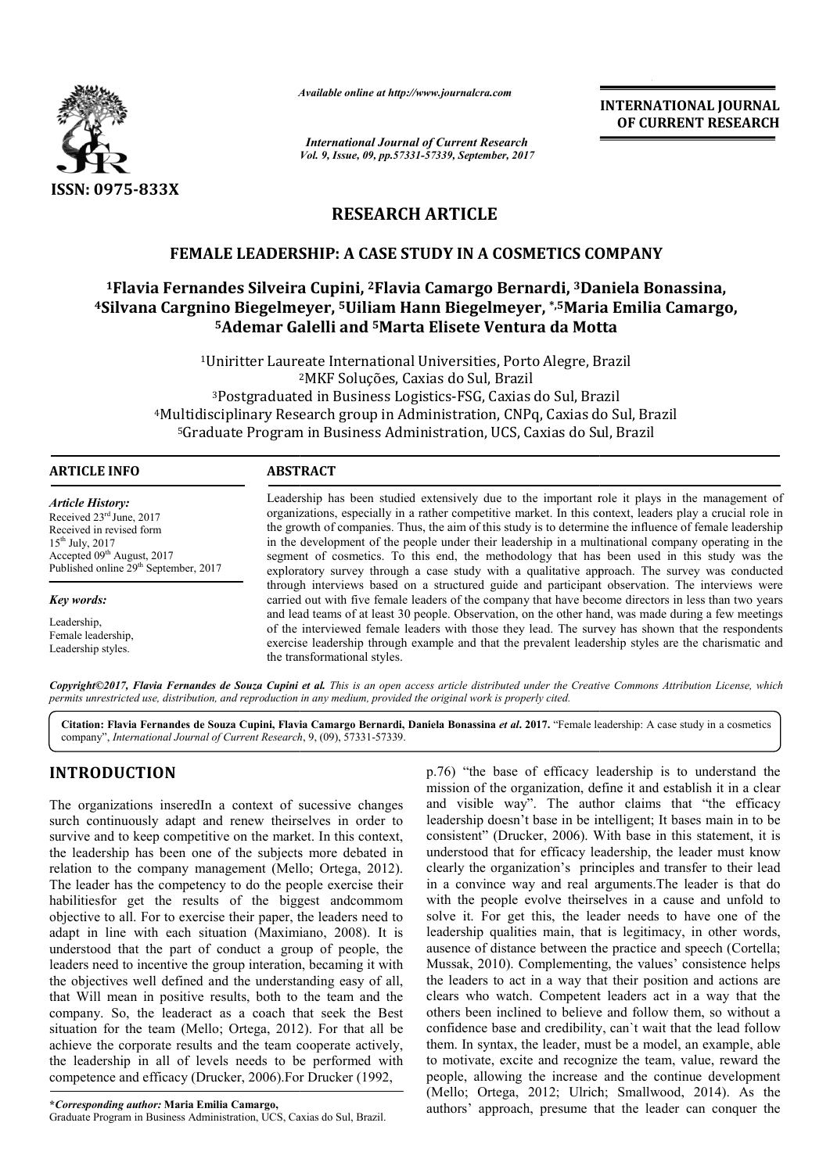

*Available online at http://www.journal http://www.journalcra.com*

*Vol. 9, Issue, 09, pp.57331-57339, September, 2017 International Journal of Current Research*

**INTERNATIONAL JOURNAL OF CURRENT RESEARCH** 

# **RESEARCH ARTICLE**

## **FEMALE LEADERSHIP: A CASE STUDY IN A COSMETICS COMPANY**

# **1Flavia Fernandes Silveira Flavia Cupini, 2Flavia Camargo Bernardi, 3Daniela Bonassina, 4Silvana Cargnino Biegelmeyer, 5Uiliam Hann Biegelmeyer, \*,5Maria Emilia Camargo CASE STUDY Daniela Bonassina, Maria Camargo, 5Ademar Galelli and 5Marta Elisete Ventura da Motta Marta Elisete da**

<sup>1</sup>Uniritter Laureate International Universities, Porto Alegre, Brazil 2 2MKF Soluções, Caxias do Sul, Brazil <sup>3</sup>Postgraduated in Business Logistics-FSG, Caxias do Sul, Brazil 4Multidisciplinary Research group in Administration, CNPq, Caxias do Sul, Brazil 5Graduate Program in Business Administration, UCS, Caxias do Sul, Brazil

#### **ARTICLE INFO ABSTRACT**

*Article History:* Received 23rd June, 2017 Received in revised form 15th July, 2017 Accepted 09<sup>th</sup> August, 2017 Published online 29<sup>th</sup> September, 2017

*Key words:*

Leadership, Female leadership, Leadership styles.

Leadership has been studied extensively due to the important role it plays in the management of organizations, especially in a rather competitive market. In this context, leaders play a crucial role in the growth of companies. Thus, the aim of this study is to determine the influence of female leadership in the development of the people under their leadership in a multinational company operating in the segment of cosmetics. To this end, the methodology that has been used in this study was the exploratory survey through a case study with a qualitative approach. The survey was conducted through interviews based on a structured guide and participant observation. The interviews were carried out with five female leaders of the company that have become directors in less than two years and lead teams of at least 30 people. Observation, on the other hand, was made during a few meetings of the interviewed female leaders with those they lead. The survey has shown that the respondents and lead teams of at least 30 people. Observation, on the other hand, was made during a few meetings of the interviewed female leaders with those they lead. The survey has shown that the respondents exercise leadership thr the transformational styles. Leadership has been studied extensively due to the important role it plays in the management of organizations, especially in a rather competitive market. In this context, leaders play a crucial role in the growth of compan

*Copyright©2017, Flavia Fernandes de Souza Cupini et al al. This is an open access article distributed under the Creative Commons Att is an article under Commons Attribution License, which permits unrestricted use, distribution, and reproduction in any medium, provided the original work is properly cited.*

Citation: Flavia Fernandes de Souza Cupini, Flavia Camargo Bernardi, Daniela Bonassina *et al.* 2017. "Female leadership: A case study in a cosmetics company", *International Journal of Current Research* , 9, (09), 57331-57339.

# **INTRODUCTION**

The organizations inseredIn a context of sucessive changes surch continuously adapt and renew theirselves in order to survive and to keep competitive on the market. In this context, the leadership has been one of the subjects more debated in relation to the company management (Mello; Ortega, 2012). The leader has the competency to do the people exercise their habilitiesfor get the results of the biggest andcommom objective to all. For to exercise their paper, the leaders need to adapt in line with each situation (Maximiano, 2008). It is understood that the part of conduct a group of people, the leaders need to incentive the group interation, becaming it with the objectives well defined and the understanding easy of all, that Will mean in positive results, both to the team and the company. So, the leaderact as a coach that seek the Best situation for the team (Mello; Ortega, 2012). For that all be achieve the corporate results and the team cooperate actively, the leadership in all of levels needs to be performed with competence and efficacy (Drucker, 2006).For Drucker (1992, ers need to incentive the group interation, becaming it with objectives well defined and the understanding easy of all, Will mean in positive results, both to the team and the pany. So, the leaderact as a coach that seek t

**\****Corresponding author:* **Maria Emilia Camargo,** 

Graduate Program in Business Administration, UCS, Caxias do Sul, Brazil Brazil.

p.76) "the base of efficacy leadership is to understand the mission of the organization, define it and establish it in a clear p.76) "the base of efficacy leadership is to understand the mission of the organization, define it and establish it in a clear and visible way". The author claims that "the efficacy leadership doesn't base in be intelligent; It bases main in to be consistent" (Drucker, 2006). With base in this statement, it is understood that for efficacy leadership, the leader must know clearly the organization's principles and transfer to their lead in a convince way and real arguments.The leader is that do in a convince way and real arguments. The leader is that do with the people evolve theirselves in a cause and unfold to solve it. For get this, the leader needs to have one of the leadership qualities main, that is legitimacy, in other words, ausence of distance between the practice and speech (Cortella; Mussak, 2010). Complementing, the values' consistence helps the leaders to act in a way that their position and actions are the leaders to act in a way that their position and actions are clears who watch. Competent leaders act in a way that the others been inclined to believe and follow them, so without a confidence base and credibility, can`t wait that the lead follow them. In syntax, the leader, must be a model, an example, able to motivate, excite and recognize the team, value, reward the people, allowing the increase and the continue development (Mello; Ortega, 2012; Ulrich; Smallwood, 2014). As the authors' approach, presume that the leader can conquer the leadership doesn't base in be intelligent; It bases main in to be consistent" (Drucker, 2006). With base in this statement, it is understood that for efficacy leadership, the leader must know clearly the organization's pri infidence base and credibility, can't wait that the lead follow<br>em. In syntax, the leader, must be a model, an example, able<br>motivate, excite and recognize the team, value, reward the<br>ople, allowing the increase and the co **INTERNATIONAL JOUENNAL CONDENT (CONDENT)**<br> **Execution OF CURRENT RESEARCH**<br> **CONDENTICS COMPANY**<br> **EXECUTE COMPANY**<br> **EXECUTE COMPANY**<br> **EXECUTE COMPANY**<br> **EXECUTE COMPANY**<br> **EXECUTE COMPANY**<br> **EXECUTE COMPANY**<br> **EXECU**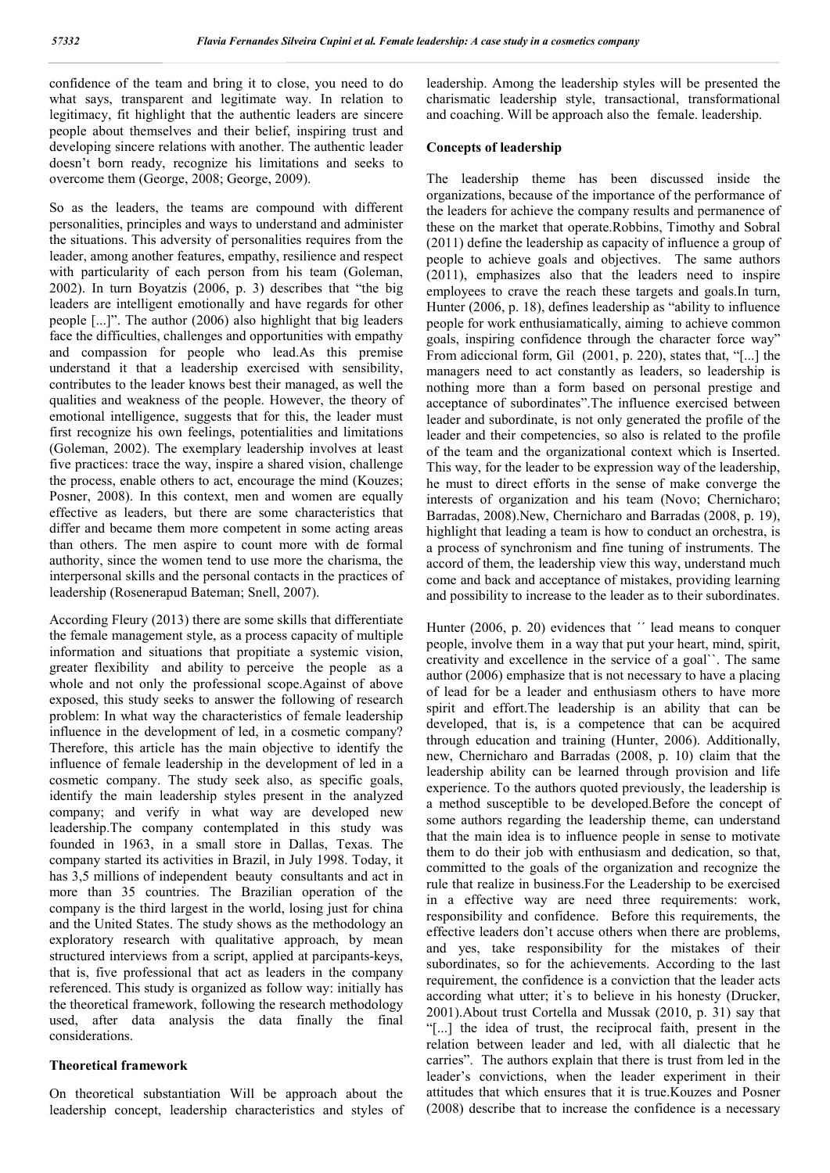confidence of the team and bring it to close, you need to do what says, transparent and legitimate way. In relation to legitimacy, fit highlight that the authentic leaders are sincere people about themselves and their belief, inspiring trust and developing sincere relations with another. The authentic leader doesn't born ready, recognize his limitations and seeks to overcome them (George, 2008; George, 2009).

So as the leaders, the teams are compound with different personalities, principles and ways to understand and administer the situations. This adversity of personalities requires from the leader, among another features, empathy, resilience and respect with particularity of each person from his team (Goleman, 2002). In turn Boyatzis (2006, p. 3) describes that "the big leaders are intelligent emotionally and have regards for other people [...]". The author (2006) also highlight that big leaders face the difficulties, challenges and opportunities with empathy and compassion for people who lead.As this premise understand it that a leadership exercised with sensibility, contributes to the leader knows best their managed, as well the qualities and weakness of the people. However, the theory of emotional intelligence, suggests that for this, the leader must first recognize his own feelings, potentialities and limitations (Goleman, 2002). The exemplary leadership involves at least five practices: trace the way, inspire a shared vision, challenge the process, enable others to act, encourage the mind (Kouzes; Posner, 2008). In this context, men and women are equally effective as leaders, but there are some characteristics that differ and became them more competent in some acting areas than others. The men aspire to count more with de formal authority, since the women tend to use more the charisma, the interpersonal skills and the personal contacts in the practices of leadership (Rosenerapud Bateman; Snell, 2007).

According Fleury (2013) there are some skills that differentiate the female management style, as a process capacity of multiple information and situations that propitiate a systemic vision, greater flexibility and ability to perceive the people as a whole and not only the professional scope.Against of above exposed, this study seeks to answer the following of research problem: In what way the characteristics of female leadership influence in the development of led, in a cosmetic company? Therefore, this article has the main objective to identify the influence of female leadership in the development of led in a cosmetic company. The study seek also, as specific goals, identify the main leadership styles present in the analyzed company; and verify in what way are developed new leadership.The company contemplated in this study was founded in 1963, in a small store in Dallas, Texas. The company started its activities in Brazil, in July 1998. Today, it has 3,5 millions of independent beauty consultants and act in more than 35 countries. The Brazilian operation of the company is the third largest in the world, losing just for china and the United States. The study shows as the methodology an exploratory research with qualitative approach, by mean structured interviews from a script, applied at parcipants-keys, that is, five professional that act as leaders in the company referenced. This study is organized as follow way: initially has the theoretical framework, following the research methodology used, after data analysis the data finally the final considerations.

#### **Theoretical framework**

On theoretical substantiation Will be approach about the leadership concept, leadership characteristics and styles of leadership. Among the leadership styles will be presented the charismatic leadership style, transactional, transformational and coaching. Will be approach also the female. leadership.

#### **Concepts of leadership**

The leadership theme has been discussed inside the organizations, because of the importance of the performance of the leaders for achieve the company results and permanence of these on the market that operate.Robbins, Timothy and Sobral (2011) define the leadership as capacity of influence a group of people to achieve goals and objectives. The same authors (2011), emphasizes also that the leaders need to inspire employees to crave the reach these targets and goals.In turn, Hunter (2006, p. 18), defines leadership as "ability to influence people for work enthusiamatically, aiming to achieve common goals, inspiring confidence through the character force way" From adiccional form, Gil (2001, p. 220), states that, "[...] the managers need to act constantly as leaders, so leadership is nothing more than a form based on personal prestige and acceptance of subordinates".The influence exercised between leader and subordinate, is not only generated the profile of the leader and their competencies, so also is related to the profile of the team and the organizational context which is Inserted. This way, for the leader to be expression way of the leadership, he must to direct efforts in the sense of make converge the interests of organization and his team (Novo; Chernicharo; Barradas, 2008).New, Chernicharo and Barradas (2008, p. 19), highlight that leading a team is how to conduct an orchestra, is a process of synchronism and fine tuning of instruments. The accord of them, the leadership view this way, understand much come and back and acceptance of mistakes, providing learning and possibility to increase to the leader as to their subordinates.

Hunter (2006, p. 20) evidences that  $\prime\prime$  lead means to conquer people, involve them in a way that put your heart, mind, spirit, creativity and excellence in the service of a goal``. The same author (2006) emphasize that is not necessary to have a placing of lead for be a leader and enthusiasm others to have more spirit and effort.The leadership is an ability that can be developed, that is, is a competence that can be acquired through education and training (Hunter, 2006). Additionally, new, Chernicharo and Barradas (2008, p. 10) claim that the leadership ability can be learned through provision and life experience. To the authors quoted previously, the leadership is a method susceptible to be developed.Before the concept of some authors regarding the leadership theme, can understand that the main idea is to influence people in sense to motivate them to do their job with enthusiasm and dedication, so that, committed to the goals of the organization and recognize the rule that realize in business.For the Leadership to be exercised in a effective way are need three requirements: work, responsibility and confidence. Before this requirements, the effective leaders don't accuse others when there are problems, and yes, take responsibility for the mistakes of their subordinates, so for the achievements. According to the last requirement, the confidence is a conviction that the leader acts according what utter; it`s to believe in his honesty (Drucker, 2001).About trust Cortella and Mussak (2010, p. 31) say that "[...] the idea of trust, the reciprocal faith, present in the relation between leader and led, with all dialectic that he carries". The authors explain that there is trust from led in the leader's convictions, when the leader experiment in their attitudes that which ensures that it is true.Kouzes and Posner (2008) describe that to increase the confidence is a necessary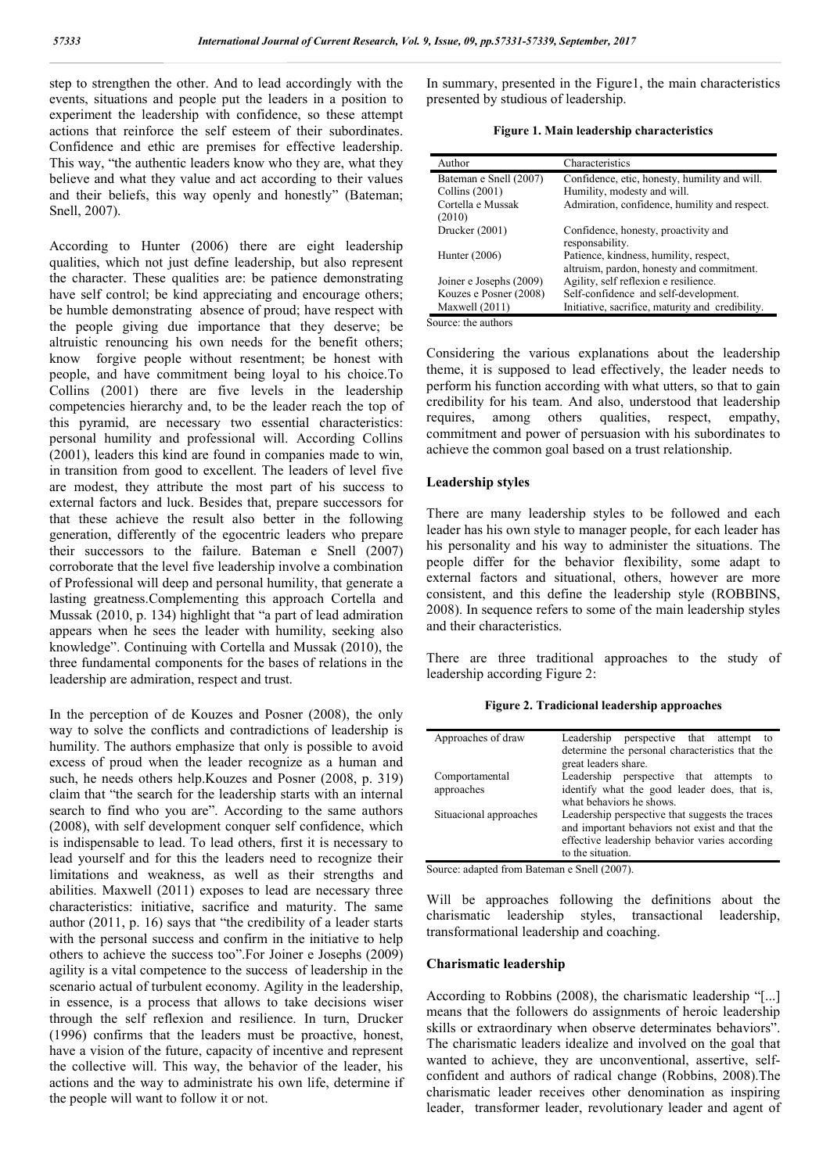step to strengthen the other. And to lead accordingly with the events, situations and people put the leaders in a position to experiment the leadership with confidence, so these attempt actions that reinforce the self esteem of their subordinates. Confidence and ethic are premises for effective leadership. This way, "the authentic leaders know who they are, what they believe and what they value and act according to their values and their beliefs, this way openly and honestly" (Bateman; Snell, 2007).

According to Hunter (2006) there are eight leadership qualities, which not just define leadership, but also represent the character. These qualities are: be patience demonstrating have self control; be kind appreciating and encourage others; be humble demonstrating absence of proud; have respect with the people giving due importance that they deserve; be altruistic renouncing his own needs for the benefit others; know forgive people without resentment; be honest with people, and have commitment being loyal to his choice.To Collins (2001) there are five levels in the leadership competencies hierarchy and, to be the leader reach the top of this pyramid, are necessary two essential characteristics: personal humility and professional will. According Collins (2001), leaders this kind are found in companies made to win, in transition from good to excellent. The leaders of level five are modest, they attribute the most part of his success to external factors and luck. Besides that, prepare successors for that these achieve the result also better in the following generation, differently of the egocentric leaders who prepare their successors to the failure. Bateman e Snell (2007) corroborate that the level five leadership involve a combination of Professional will deep and personal humility, that generate a lasting greatness.Complementing this approach Cortella and Mussak (2010, p. 134) highlight that "a part of lead admiration appears when he sees the leader with humility, seeking also knowledge". Continuing with Cortella and Mussak (2010), the three fundamental components for the bases of relations in the leadership are admiration, respect and trust.

In the perception of de Kouzes and Posner (2008), the only way to solve the conflicts and contradictions of leadership is humility. The authors emphasize that only is possible to avoid excess of proud when the leader recognize as a human and such, he needs others help.Kouzes and Posner (2008, p. 319) claim that "the search for the leadership starts with an internal search to find who you are". According to the same authors (2008), with self development conquer self confidence, which is indispensable to lead. To lead others, first it is necessary to lead yourself and for this the leaders need to recognize their limitations and weakness, as well as their strengths and abilities. Maxwell (2011) exposes to lead are necessary three characteristics: initiative, sacrifice and maturity. The same author (2011, p. 16) says that "the credibility of a leader starts with the personal success and confirm in the initiative to help others to achieve the success too".For Joiner e Josephs (2009) agility is a vital competence to the success of leadership in the scenario actual of turbulent economy. Agility in the leadership, in essence, is a process that allows to take decisions wiser through the self reflexion and resilience. In turn, Drucker (1996) confirms that the leaders must be proactive, honest, have a vision of the future, capacity of incentive and represent the collective will. This way, the behavior of the leader, his actions and the way to administrate his own life, determine if the people will want to follow it or not.

In summary, presented in the Figure1, the main characteristics presented by studious of leadership.

| Author                  | Characteristics                                  |
|-------------------------|--------------------------------------------------|
| Bateman e Snell (2007)  | Confidence, etic, honesty, humility and will.    |
| Collins $(2001)$        | Humility, modesty and will.                      |
| Cortella e Mussak       | Admiration, confidence, humility and respect.    |
| (2010)                  |                                                  |
| Drucker (2001)          | Confidence, honesty, proactivity and             |
|                         | responsability.                                  |
| Hunter $(2006)$         | Patience, kindness, humility, respect,           |
|                         | altruism, pardon, honesty and commitment.        |
| Joiner e Josephs (2009) | Agility, self reflexion e resilience.            |
| Kouzes e Posner (2008)  | Self-confidence and self-development.            |
| Maxwell $(2011)$        | Initiative, sacrifice, maturity and credibility. |

Source: the authors

Considering the various explanations about the leadership theme, it is supposed to lead effectively, the leader needs to perform his function according with what utters, so that to gain credibility for his team. And also, understood that leadership requires, among others qualities, respect, empathy, commitment and power of persuasion with his subordinates to achieve the common goal based on a trust relationship.

### **Leadership styles**

There are many leadership styles to be followed and each leader has his own style to manager people, for each leader has his personality and his way to administer the situations. The people differ for the behavior flexibility, some adapt to external factors and situational, others, however are more consistent, and this define the leadership style (ROBBINS, 2008). In sequence refers to some of the main leadership styles and their characteristics.

There are three traditional approaches to the study of leadership according Figure 2:

| Figure 2. Tradicional leadership approaches |  |
|---------------------------------------------|--|
|                                             |  |

| Approaches of draw     | Leadership perspective that attempt<br>to       |
|------------------------|-------------------------------------------------|
|                        | determine the personal characteristics that the |
|                        | great leaders share.                            |
| Comportamental         | Leadership perspective that attempts<br>- to    |
| approaches             | identify what the good leader does, that is,    |
|                        | what behaviors he shows.                        |
| Situacional approaches | Leadership perspective that suggests the traces |
|                        | and important behaviors not exist and that the  |
|                        | effective leadership behavior varies according  |
|                        | to the situation.                               |

Source: adapted from Bateman e Snell (2007).

Will be approaches following the definitions about the charismatic leadership styles, transactional leadership, transformational leadership and coaching.

#### **Charismatic leadership**

According to Robbins (2008), the charismatic leadership "[...] means that the followers do assignments of heroic leadership skills or extraordinary when observe determinates behaviors". The charismatic leaders idealize and involved on the goal that wanted to achieve, they are unconventional, assertive, selfconfident and authors of radical change (Robbins, 2008).The charismatic leader receives other denomination as inspiring leader, transformer leader, revolutionary leader and agent of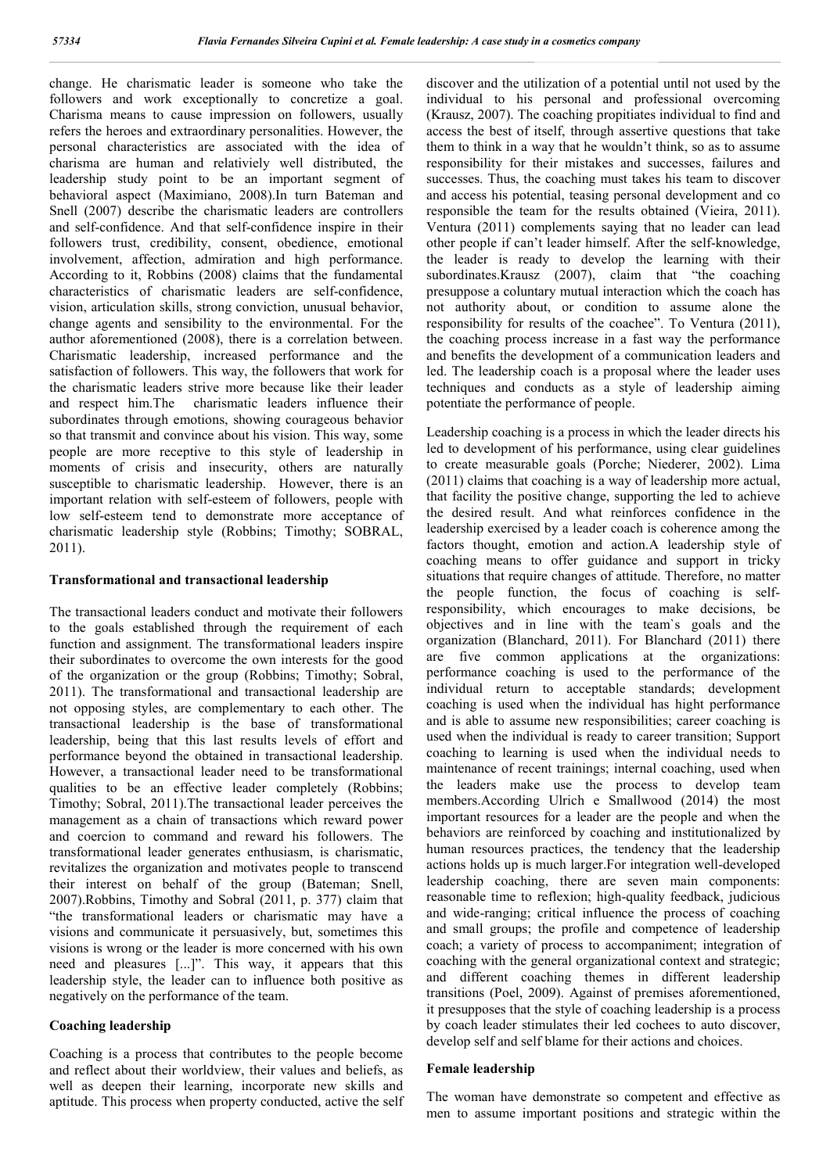change. He charismatic leader is someone who take the followers and work exceptionally to concretize a goal. Charisma means to cause impression on followers, usually refers the heroes and extraordinary personalities. However, the personal characteristics are associated with the idea of charisma are human and relativiely well distributed, the leadership study point to be an important segment of behavioral aspect (Maximiano, 2008).In turn Bateman and Snell (2007) describe the charismatic leaders are controllers and self-confidence. And that self-confidence inspire in their followers trust, credibility, consent, obedience, emotional involvement, affection, admiration and high performance. According to it, Robbins (2008) claims that the fundamental characteristics of charismatic leaders are self-confidence, vision, articulation skills, strong conviction, unusual behavior, change agents and sensibility to the environmental. For the author aforementioned (2008), there is a correlation between. Charismatic leadership, increased performance and the satisfaction of followers. This way, the followers that work for the charismatic leaders strive more because like their leader and respect him.The charismatic leaders influence their subordinates through emotions, showing courageous behavior so that transmit and convince about his vision. This way, some people are more receptive to this style of leadership in moments of crisis and insecurity, others are naturally susceptible to charismatic leadership. However, there is an important relation with self-esteem of followers, people with low self-esteem tend to demonstrate more acceptance of charismatic leadership style (Robbins; Timothy; SOBRAL, 2011).

#### **Transformational and transactional leadership**

The transactional leaders conduct and motivate their followers to the goals established through the requirement of each function and assignment. The transformational leaders inspire their subordinates to overcome the own interests for the good of the organization or the group (Robbins; Timothy; Sobral, 2011). The transformational and transactional leadership are not opposing styles, are complementary to each other. The transactional leadership is the base of transformational leadership, being that this last results levels of effort and performance beyond the obtained in transactional leadership. However, a transactional leader need to be transformational qualities to be an effective leader completely (Robbins; Timothy; Sobral, 2011).The transactional leader perceives the management as a chain of transactions which reward power and coercion to command and reward his followers. The transformational leader generates enthusiasm, is charismatic, revitalizes the organization and motivates people to transcend their interest on behalf of the group (Bateman; Snell, 2007).Robbins, Timothy and Sobral (2011, p. 377) claim that "the transformational leaders or charismatic may have a visions and communicate it persuasively, but, sometimes this visions is wrong or the leader is more concerned with his own need and pleasures [...]". This way, it appears that this leadership style, the leader can to influence both positive as negatively on the performance of the team.

#### **Coaching leadership**

Coaching is a process that contributes to the people become and reflect about their worldview, their values and beliefs, as well as deepen their learning, incorporate new skills and aptitude. This process when property conducted, active the self discover and the utilization of a potential until not used by the individual to his personal and professional overcoming (Krausz, 2007). The coaching propitiates individual to find and access the best of itself, through assertive questions that take them to think in a way that he wouldn't think, so as to assume responsibility for their mistakes and successes, failures and successes. Thus, the coaching must takes his team to discover and access his potential, teasing personal development and co responsible the team for the results obtained (Vieira, 2011). Ventura (2011) complements saying that no leader can lead other people if can't leader himself. After the self-knowledge, the leader is ready to develop the learning with their subordinates.Krausz (2007), claim that "the coaching presuppose a coluntary mutual interaction which the coach has not authority about, or condition to assume alone the responsibility for results of the coachee". To Ventura (2011), the coaching process increase in a fast way the performance and benefits the development of a communication leaders and led. The leadership coach is a proposal where the leader uses techniques and conducts as a style of leadership aiming potentiate the performance of people.

Leadership coaching is a process in which the leader directs his led to development of his performance, using clear guidelines to create measurable goals (Porche; Niederer, 2002). Lima (2011) claims that coaching is a way of leadership more actual, that facility the positive change, supporting the led to achieve the desired result. And what reinforces confidence in the leadership exercised by a leader coach is coherence among the factors thought, emotion and action.A leadership style of coaching means to offer guidance and support in tricky situations that require changes of attitude. Therefore, no matter the people function, the focus of coaching is selfresponsibility, which encourages to make decisions, be objectives and in line with the team`s goals and the organization (Blanchard, 2011). For Blanchard (2011) there are five common applications at the organizations: performance coaching is used to the performance of the individual return to acceptable standards; development coaching is used when the individual has hight performance and is able to assume new responsibilities; career coaching is used when the individual is ready to career transition; Support coaching to learning is used when the individual needs to maintenance of recent trainings; internal coaching, used when the leaders make use the process to develop team members.According Ulrich e Smallwood (2014) the most important resources for a leader are the people and when the behaviors are reinforced by coaching and institutionalized by human resources practices, the tendency that the leadership actions holds up is much larger.For integration well-developed leadership coaching, there are seven main components: reasonable time to reflexion; high-quality feedback, judicious and wide-ranging; critical influence the process of coaching and small groups; the profile and competence of leadership coach; a variety of process to accompaniment; integration of coaching with the general organizational context and strategic; and different coaching themes in different leadership transitions (Poel, 2009). Against of premises aforementioned, it presupposes that the style of coaching leadership is a process by coach leader stimulates their led cochees to auto discover, develop self and self blame for their actions and choices.

#### **Female leadership**

The woman have demonstrate so competent and effective as men to assume important positions and strategic within the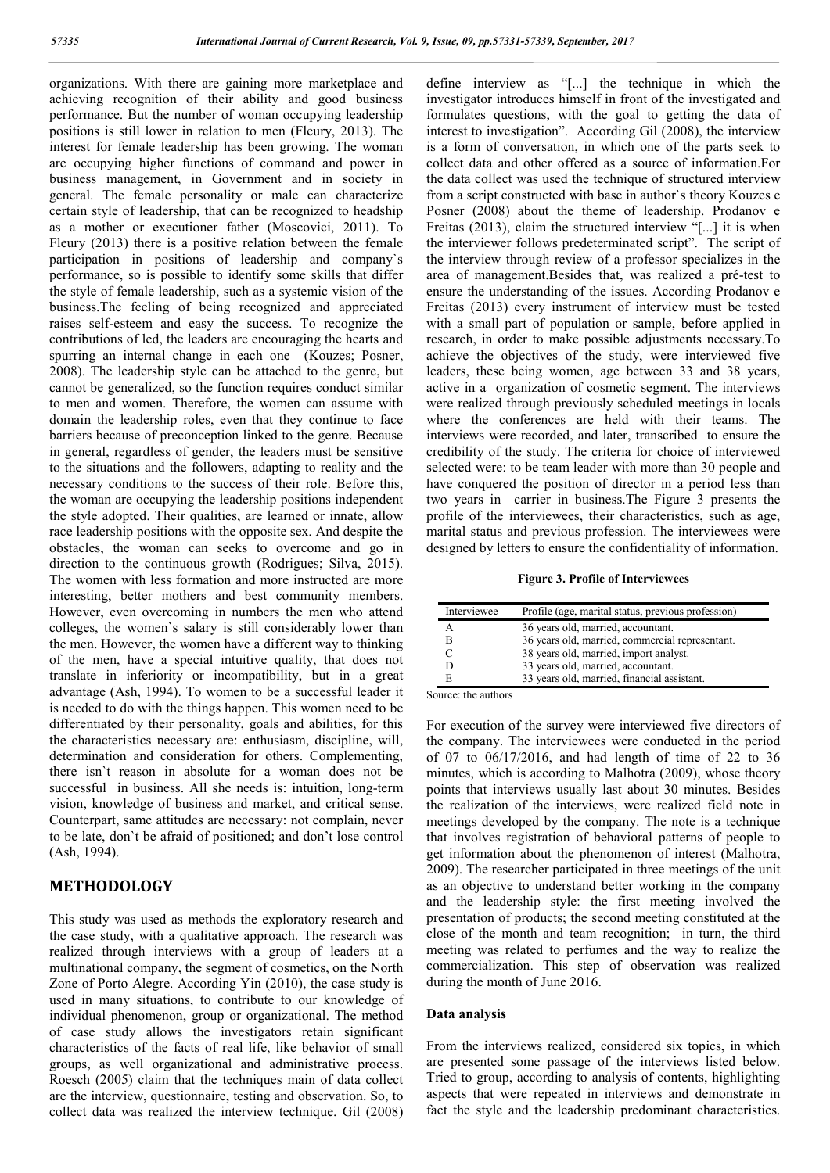organizations. With there are gaining more marketplace and achieving recognition of their ability and good business performance. But the number of woman occupying leadership positions is still lower in relation to men (Fleury, 2013). The interest for female leadership has been growing. The woman are occupying higher functions of command and power in business management, in Government and in society in general. The female personality or male can characterize certain style of leadership, that can be recognized to headship as a mother or executioner father (Moscovici, 2011). To Fleury (2013) there is a positive relation between the female participation in positions of leadership and company`s performance, so is possible to identify some skills that differ the style of female leadership, such as a systemic vision of the business.The feeling of being recognized and appreciated raises self-esteem and easy the success. To recognize the contributions of led, the leaders are encouraging the hearts and spurring an internal change in each one (Kouzes; Posner, 2008). The leadership style can be attached to the genre, but cannot be generalized, so the function requires conduct similar to men and women. Therefore, the women can assume with domain the leadership roles, even that they continue to face barriers because of preconception linked to the genre. Because in general, regardless of gender, the leaders must be sensitive to the situations and the followers, adapting to reality and the necessary conditions to the success of their role. Before this, the woman are occupying the leadership positions independent the style adopted. Their qualities, are learned or innate, allow race leadership positions with the opposite sex. And despite the obstacles, the woman can seeks to overcome and go in direction to the continuous growth (Rodrigues; Silva, 2015). The women with less formation and more instructed are more interesting, better mothers and best community members. However, even overcoming in numbers the men who attend colleges, the women`s salary is still considerably lower than the men. However, the women have a different way to thinking of the men, have a special intuitive quality, that does not translate in inferiority or incompatibility, but in a great advantage (Ash, 1994). To women to be a successful leader it is needed to do with the things happen. This women need to be differentiated by their personality, goals and abilities, for this the characteristics necessary are: enthusiasm, discipline, will, determination and consideration for others. Complementing, there isn`t reason in absolute for a woman does not be successful in business. All she needs is: intuition, long-term vision, knowledge of business and market, and critical sense. Counterpart, same attitudes are necessary: not complain, never to be late, don`t be afraid of positioned; and don't lose control (Ash, 1994).

#### **METHODOLOGY**

This study was used as methods the exploratory research and the case study, with a qualitative approach. The research was realized through interviews with a group of leaders at a multinational company, the segment of cosmetics, on the North Zone of Porto Alegre. According Yin (2010), the case study is used in many situations, to contribute to our knowledge of individual phenomenon, group or organizational. The method of case study allows the investigators retain significant characteristics of the facts of real life, like behavior of small groups, as well organizational and administrative process. Roesch (2005) claim that the techniques main of data collect are the interview, questionnaire, testing and observation. So, to collect data was realized the interview technique. Gil (2008)

define interview as "[...] the technique in which the investigator introduces himself in front of the investigated and formulates questions, with the goal to getting the data of interest to investigation". According Gil (2008), the interview is a form of conversation, in which one of the parts seek to collect data and other offered as a source of information.For the data collect was used the technique of structured interview from a script constructed with base in author`s theory Kouzes e Posner (2008) about the theme of leadership. Prodanov e Freitas (2013), claim the structured interview "[...] it is when the interviewer follows predeterminated script". The script of the interview through review of a professor specializes in the area of management.Besides that, was realized a pré-test to ensure the understanding of the issues. According Prodanov e Freitas (2013) every instrument of interview must be tested with a small part of population or sample, before applied in research, in order to make possible adjustments necessary.To achieve the objectives of the study, were interviewed five leaders, these being women, age between 33 and 38 years, active in a organization of cosmetic segment. The interviews were realized through previously scheduled meetings in locals where the conferences are held with their teams. The interviews were recorded, and later, transcribed to ensure the credibility of the study. The criteria for choice of interviewed selected were: to be team leader with more than 30 people and have conquered the position of director in a period less than two years in carrier in business.The Figure 3 presents the profile of the interviewees, their characteristics, such as age, marital status and previous profession. The interviewees were designed by letters to ensure the confidentiality of information.

**Figure 3. Profile of Interviewees**

| Interviewee | Profile (age, marital status, previous profession) |  |
|-------------|----------------------------------------------------|--|
|             | 36 years old, married, accountant.                 |  |
| R           | 36 years old, married, commercial representant.    |  |
|             | 38 years old, married, import analyst.             |  |
|             | 33 years old, married, accountant.                 |  |
|             | 33 years old, married, financial assistant.        |  |

Source: the authors

For execution of the survey were interviewed five directors of the company. The interviewees were conducted in the period of 07 to 06/17/2016, and had length of time of 22 to 36 minutes, which is according to Malhotra (2009), whose theory points that interviews usually last about 30 minutes. Besides the realization of the interviews, were realized field note in meetings developed by the company. The note is a technique that involves registration of behavioral patterns of people to get information about the phenomenon of interest (Malhotra, 2009). The researcher participated in three meetings of the unit as an objective to understand better working in the company and the leadership style: the first meeting involved the presentation of products; the second meeting constituted at the close of the month and team recognition; in turn, the third meeting was related to perfumes and the way to realize the commercialization. This step of observation was realized during the month of June 2016.

#### **Data analysis**

From the interviews realized, considered six topics, in which are presented some passage of the interviews listed below. Tried to group, according to analysis of contents, highlighting aspects that were repeated in interviews and demonstrate in fact the style and the leadership predominant characteristics.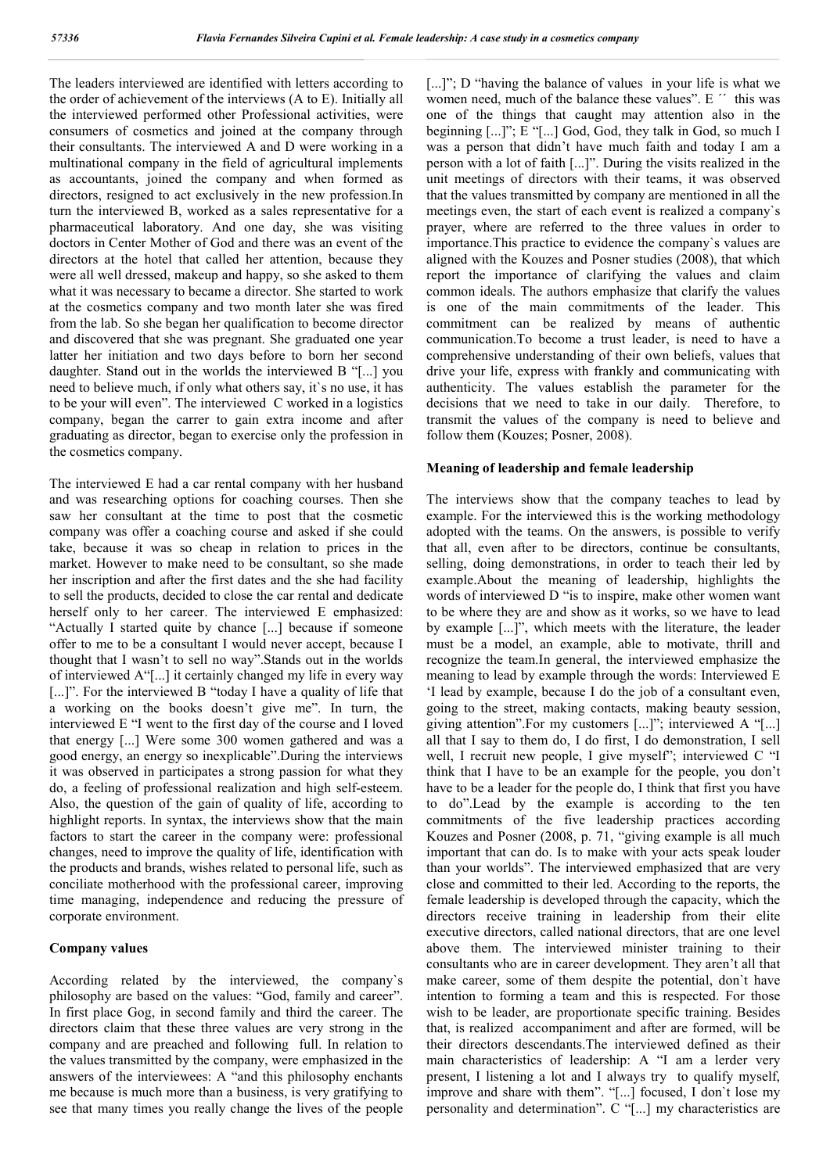The leaders interviewed are identified with letters according to the order of achievement of the interviews (A to E). Initially all the interviewed performed other Professional activities, were consumers of cosmetics and joined at the company through their consultants. The interviewed A and D were working in a multinational company in the field of agricultural implements as accountants, joined the company and when formed as directors, resigned to act exclusively in the new profession.In turn the interviewed B, worked as a sales representative for a pharmaceutical laboratory. And one day, she was visiting doctors in Center Mother of God and there was an event of the directors at the hotel that called her attention, because they were all well dressed, makeup and happy, so she asked to them what it was necessary to became a director. She started to work at the cosmetics company and two month later she was fired from the lab. So she began her qualification to become director and discovered that she was pregnant. She graduated one year latter her initiation and two days before to born her second daughter. Stand out in the worlds the interviewed B "[...] you need to believe much, if only what others say, it`s no use, it has to be your will even". The interviewed C worked in a logistics company, began the carrer to gain extra income and after graduating as director, began to exercise only the profession in the cosmetics company.

The interviewed E had a car rental company with her husband and was researching options for coaching courses. Then she saw her consultant at the time to post that the cosmetic company was offer a coaching course and asked if she could take, because it was so cheap in relation to prices in the market. However to make need to be consultant, so she made her inscription and after the first dates and the she had facility to sell the products, decided to close the car rental and dedicate herself only to her career. The interviewed E emphasized: "Actually I started quite by chance [...] because if someone offer to me to be a consultant I would never accept, because I thought that I wasn't to sell no way".Stands out in the worlds of interviewed A"[...] it certainly changed my life in every way [...]". For the interviewed B "today I have a quality of life that a working on the books doesn't give me". In turn, the interviewed E "I went to the first day of the course and I loved that energy [...] Were some 300 women gathered and was a good energy, an energy so inexplicable".During the interviews it was observed in participates a strong passion for what they do, a feeling of professional realization and high self-esteem. Also, the question of the gain of quality of life, according to highlight reports. In syntax, the interviews show that the main factors to start the career in the company were: professional changes, need to improve the quality of life, identification with the products and brands, wishes related to personal life, such as conciliate motherhood with the professional career, improving time managing, independence and reducing the pressure of corporate environment.

#### **Company values**

According related by the interviewed, the company`s philosophy are based on the values: "God, family and career". In first place Gog, in second family and third the career. The directors claim that these three values are very strong in the company and are preached and following full. In relation to the values transmitted by the company, were emphasized in the answers of the interviewees: A "and this philosophy enchants me because is much more than a business, is very gratifying to see that many times you really change the lives of the people

[...]"; D "having the balance of values in your life is what we women need, much of the balance these values". E " this was one of the things that caught may attention also in the beginning [...]"; E "[...] God, God, they talk in God, so much I was a person that didn't have much faith and today I am a person with a lot of faith [...]". During the visits realized in the unit meetings of directors with their teams, it was observed that the values transmitted by company are mentioned in all the meetings even, the start of each event is realized a company`s prayer, where are referred to the three values in order to importance.This practice to evidence the company`s values are aligned with the Kouzes and Posner studies (2008), that which report the importance of clarifying the values and claim common ideals. The authors emphasize that clarify the values is one of the main commitments of the leader. This commitment can be realized by means of authentic communication.To become a trust leader, is need to have a comprehensive understanding of their own beliefs, values that drive your life, express with frankly and communicating with authenticity. The values establish the parameter for the decisions that we need to take in our daily. Therefore, to transmit the values of the company is need to believe and follow them (Kouzes; Posner, 2008).

#### **Meaning of leadership and female leadership**

The interviews show that the company teaches to lead by example. For the interviewed this is the working methodology adopted with the teams. On the answers, is possible to verify that all, even after to be directors, continue be consultants, selling, doing demonstrations, in order to teach their led by example.About the meaning of leadership, highlights the words of interviewed D "is to inspire, make other women want to be where they are and show as it works, so we have to lead by example [...]", which meets with the literature, the leader must be a model, an example, able to motivate, thrill and recognize the team.In general, the interviewed emphasize the meaning to lead by example through the words: Interviewed E 'I lead by example, because I do the job of a consultant even, going to the street, making contacts, making beauty session, giving attention".For my customers [...]"; interviewed A "[...] all that I say to them do, I do first, I do demonstration, I sell well, I recruit new people, I give myself"; interviewed C "I think that I have to be an example for the people, you don't have to be a leader for the people do, I think that first you have to do".Lead by the example is according to the ten commitments of the five leadership practices according Kouzes and Posner (2008, p. 71, "giving example is all much important that can do. Is to make with your acts speak louder than your worlds". The interviewed emphasized that are very close and committed to their led. According to the reports, the female leadership is developed through the capacity, which the directors receive training in leadership from their elite executive directors, called national directors, that are one level above them. The interviewed minister training to their consultants who are in career development. They aren't all that make career, some of them despite the potential, don`t have intention to forming a team and this is respected. For those wish to be leader, are proportionate specific training. Besides that, is realized accompaniment and after are formed, will be their directors descendants.The interviewed defined as their main characteristics of leadership: A "I am a lerder very present, I listening a lot and I always try to qualify myself, improve and share with them". "[...] focused, I don`t lose my personality and determination". C "[...] my characteristics are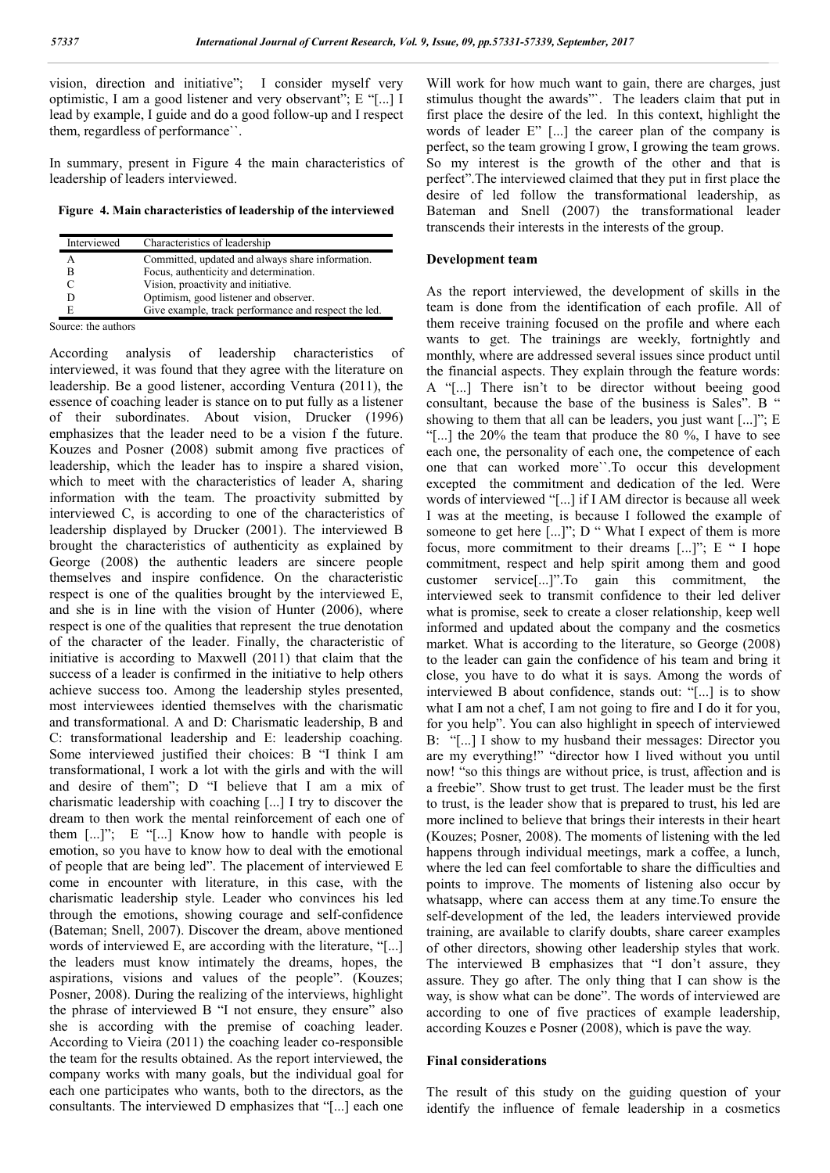vision, direction and initiative"; I consider myself very optimistic, I am a good listener and very observant"; E "[...] I lead by example, I guide and do a good follow-up and I respect them, regardless of performance``.

In summary, present in Figure 4 the main characteristics of leadership of leaders interviewed.

**Figure 4. Main characteristics of leadership of the interviewed**

| Interviewed   | Characteristics of leadership                        |
|---------------|------------------------------------------------------|
|               | Committed, updated and always share information.     |
| В             | Focus, authenticity and determination.               |
|               | Vision, proactivity and initiative.                  |
| D             | Optimism, good listener and observer.                |
| E             | Give example, track performance and respect the led. |
| . .<br>$\sim$ |                                                      |

Source: the authors

According analysis of leadership characteristics of interviewed, it was found that they agree with the literature on leadership. Be a good listener, according Ventura (2011), the essence of coaching leader is stance on to put fully as a listener of their subordinates. About vision, Drucker (1996) emphasizes that the leader need to be a vision f the future. Kouzes and Posner (2008) submit among five practices of leadership, which the leader has to inspire a shared vision, which to meet with the characteristics of leader A, sharing information with the team. The proactivity submitted by interviewed C, is according to one of the characteristics of leadership displayed by Drucker (2001). The interviewed B brought the characteristics of authenticity as explained by George (2008) the authentic leaders are sincere people themselves and inspire confidence. On the characteristic respect is one of the qualities brought by the interviewed E, and she is in line with the vision of Hunter (2006), where respect is one of the qualities that represent the true denotation of the character of the leader. Finally, the characteristic of initiative is according to Maxwell (2011) that claim that the success of a leader is confirmed in the initiative to help others achieve success too. Among the leadership styles presented, most interviewees identied themselves with the charismatic and transformational. A and D: Charismatic leadership, B and C: transformational leadership and E: leadership coaching. Some interviewed justified their choices: B "I think I am transformational, I work a lot with the girls and with the will and desire of them"; D "I believe that I am a mix of charismatic leadership with coaching [...] I try to discover the dream to then work the mental reinforcement of each one of them  $[\dots]$ "; E " $[\dots]$ " Know how to handle with people is emotion, so you have to know how to deal with the emotional of people that are being led". The placement of interviewed E come in encounter with literature, in this case, with the charismatic leadership style. Leader who convinces his led through the emotions, showing courage and self-confidence (Bateman; Snell, 2007). Discover the dream, above mentioned words of interviewed E, are according with the literature, "[...] the leaders must know intimately the dreams, hopes, the aspirations, visions and values of the people". (Kouzes; Posner, 2008). During the realizing of the interviews, highlight the phrase of interviewed B "I not ensure, they ensure" also she is according with the premise of coaching leader. According to Vieira (2011) the coaching leader co-responsible the team for the results obtained. As the report interviewed, the company works with many goals, but the individual goal for each one participates who wants, both to the directors, as the consultants. The interviewed D emphasizes that "[...] each one

Will work for how much want to gain, there are charges, just stimulus thought the awards"`. The leaders claim that put in first place the desire of the led. In this context, highlight the words of leader E" [...] the career plan of the company is perfect, so the team growing I grow, I growing the team grows. So my interest is the growth of the other and that is perfect".The interviewed claimed that they put in first place the desire of led follow the transformational leadership, as Bateman and Snell (2007) the transformational leader transcends their interests in the interests of the group.

#### **Development team**

As the report interviewed, the development of skills in the team is done from the identification of each profile. All of them receive training focused on the profile and where each wants to get. The trainings are weekly, fortnightly and monthly, where are addressed several issues since product until the financial aspects. They explain through the feature words: A "[...] There isn't to be director without beeing good consultant, because the base of the business is Sales". B " showing to them that all can be leaders, you just want [...]"; E "[...] the  $20\%$  the team that produce the  $80\%$ , I have to see each one, the personality of each one, the competence of each one that can worked more``.To occur this development excepted the commitment and dedication of the led. Were words of interviewed "[...] if I AM director is because all week I was at the meeting, is because I followed the example of someone to get here  $\left[\dots\right]$ "; D " What I expect of them is more focus, more commitment to their dreams [...]"; E " I hope commitment, respect and help spirit among them and good customer service[...]".To gain this commitment, the interviewed seek to transmit confidence to their led deliver what is promise, seek to create a closer relationship, keep well informed and updated about the company and the cosmetics market. What is according to the literature, so George (2008) to the leader can gain the confidence of his team and bring it close, you have to do what it is says. Among the words of interviewed B about confidence, stands out: "[...] is to show what I am not a chef, I am not going to fire and I do it for you, for you help". You can also highlight in speech of interviewed B: "[...] I show to my husband their messages: Director you are my everything!" "director how I lived without you until now! "so this things are without price, is trust, affection and is a freebie". Show trust to get trust. The leader must be the first to trust, is the leader show that is prepared to trust, his led are more inclined to believe that brings their interests in their heart (Kouzes; Posner, 2008). The moments of listening with the led happens through individual meetings, mark a coffee, a lunch, where the led can feel comfortable to share the difficulties and points to improve. The moments of listening also occur by whatsapp, where can access them at any time.To ensure the self-development of the led, the leaders interviewed provide training, are available to clarify doubts, share career examples of other directors, showing other leadership styles that work. The interviewed B emphasizes that "I don't assure, they assure. They go after. The only thing that I can show is the way, is show what can be done". The words of interviewed are according to one of five practices of example leadership, according Kouzes e Posner (2008), which is pave the way.

#### **Final considerations**

The result of this study on the guiding question of your identify the influence of female leadership in a cosmetics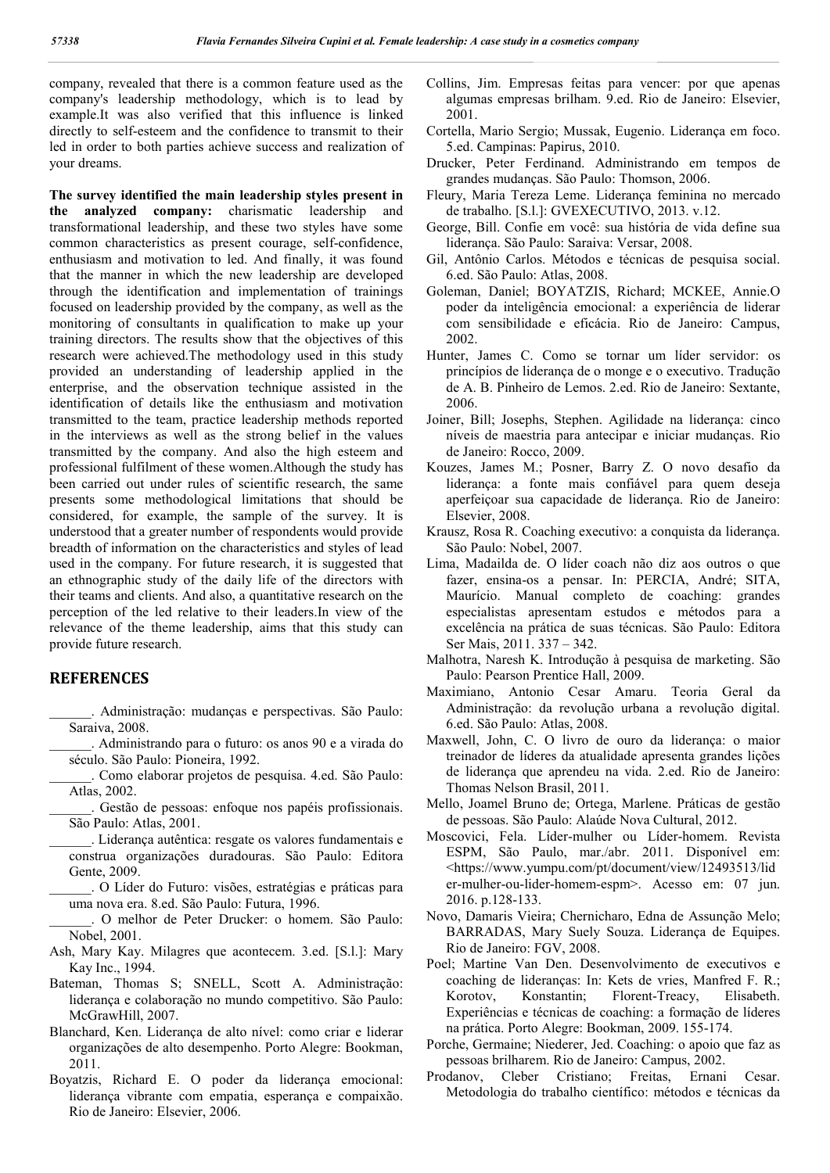company, revealed that there is a common feature used as the company's leadership methodology, which is to lead by example.It was also verified that this influence is linked directly to self-esteem and the confidence to transmit to their led in order to both parties achieve success and realization of your dreams.

**The survey identified the main leadership styles present in the analyzed company:** charismatic leadership and transformational leadership, and these two styles have some common characteristics as present courage, self-confidence, enthusiasm and motivation to led. And finally, it was found that the manner in which the new leadership are developed through the identification and implementation of trainings focused on leadership provided by the company, as well as the monitoring of consultants in qualification to make up your training directors. The results show that the objectives of this research were achieved.The methodology used in this study provided an understanding of leadership applied in the enterprise, and the observation technique assisted in the identification of details like the enthusiasm and motivation transmitted to the team, practice leadership methods reported in the interviews as well as the strong belief in the values transmitted by the company. And also the high esteem and professional fulfilment of these women.Although the study has been carried out under rules of scientific research, the same presents some methodological limitations that should be considered, for example, the sample of the survey. It is understood that a greater number of respondents would provide breadth of information on the characteristics and styles of lead used in the company. For future research, it is suggested that an ethnographic study of the daily life of the directors with their teams and clients. And also, a quantitative research on the perception of the led relative to their leaders.In view of the relevance of the theme leadership, aims that this study can provide future research.

### **REFERENCES**

\_\_\_\_\_\_. Administração: mudanças e perspectivas. São Paulo: Saraiva, 2008.

- \_\_\_\_\_\_. Administrando para o futuro: os anos 90 e a virada do século. São Paulo: Pioneira, 1992.
- \_\_\_\_\_\_. Como elaborar projetos de pesquisa. 4.ed. São Paulo: Atlas, 2002.
- \_\_\_\_\_\_. Gestão de pessoas: enfoque nos papéis profissionais. São Paulo: Atlas, 2001.
- \_\_\_\_\_\_. Liderança autêntica: resgate os valores fundamentais e construa organizações duradouras. São Paulo: Editora Gente, 2009.
- \_\_\_\_\_\_. O Líder do Futuro: visões, estratégias e práticas para uma nova era. 8.ed. São Paulo: Futura, 1996.
- \_\_\_\_\_\_. O melhor de Peter Drucker: o homem. São Paulo: Nobel, 2001.
- Ash, Mary Kay. Milagres que acontecem. 3.ed. [S.l.]: Mary Kay Inc., 1994.
- Bateman, Thomas S; SNELL, Scott A. Administração: liderança e colaboração no mundo competitivo. São Paulo: McGrawHill, 2007.
- Blanchard, Ken. Liderança de alto nível: como criar e liderar organizações de alto desempenho. Porto Alegre: Bookman, 2011.
- Boyatzis, Richard E. O poder da liderança emocional: liderança vibrante com empatia, esperança e compaixão. Rio de Janeiro: Elsevier, 2006.
- Collins, Jim. Empresas feitas para vencer: por que apenas algumas empresas brilham. 9.ed. Rio de Janeiro: Elsevier, 2001.
- Cortella, Mario Sergio; Mussak, Eugenio. Liderança em foco. 5.ed. Campinas: Papirus, 2010.
- Drucker, Peter Ferdinand. Administrando em tempos de grandes mudanças. São Paulo: Thomson, 2006.
- Fleury, Maria Tereza Leme. Liderança feminina no mercado de trabalho. [S.l.]: GVEXECUTIVO, 2013. v.12.
- George, Bill. Confie em você: sua história de vida define sua liderança. São Paulo: Saraiva: Versar, 2008.
- Gil, Antônio Carlos. Métodos e técnicas de pesquisa social. 6.ed. São Paulo: Atlas, 2008.
- Goleman, Daniel; BOYATZIS, Richard; MCKEE, Annie.O poder da inteligência emocional: a experiência de liderar com sensibilidade e eficácia. Rio de Janeiro: Campus, 2002.
- Hunter, James C. Como se tornar um líder servidor: os princípios de liderança de o monge e o executivo. Tradução de A. B. Pinheiro de Lemos. 2.ed. Rio de Janeiro: Sextante, 2006.
- Joiner, Bill; Josephs, Stephen. Agilidade na liderança: cinco níveis de maestria para antecipar e iniciar mudanças. Rio de Janeiro: Rocco, 2009.
- Kouzes, James M.; Posner, Barry Z. O novo desafio da liderança: a fonte mais confiável para quem deseja aperfeiçoar sua capacidade de liderança. Rio de Janeiro: Elsevier, 2008.
- Krausz, Rosa R. Coaching executivo: a conquista da liderança. São Paulo: Nobel, 2007.
- Lima, Madailda de. O líder coach não diz aos outros o que fazer, ensina-os a pensar. In: PERCIA, André; SITA, Maurício. Manual completo de coaching: grandes especialistas apresentam estudos e métodos para a excelência na prática de suas técnicas. São Paulo: Editora Ser Mais, 2011. 337 – 342.
- Malhotra, Naresh K. Introdução à pesquisa de marketing. São Paulo: Pearson Prentice Hall, 2009.
- Maximiano, Antonio Cesar Amaru. Teoria Geral da Administração: da revolução urbana a revolução digital. 6.ed. São Paulo: Atlas, 2008.
- Maxwell, John, C. O livro de ouro da liderança: o maior treinador de líderes da atualidade apresenta grandes lições de liderança que aprendeu na vida. 2.ed. Rio de Janeiro: Thomas Nelson Brasil, 2011.
- Mello, Joamel Bruno de; Ortega, Marlene. Práticas de gestão de pessoas. São Paulo: Alaúde Nova Cultural, 2012.
- Moscovici, Fela. Líder-mulher ou Líder-homem. Revista ESPM, São Paulo, mar./abr. 2011. Disponível em: <https://www.yumpu.com/pt/document/view/12493513/lid er-mulher-ou-lider-homem-espm>. Acesso em: 07 jun. 2016. p.128-133.
- Novo, Damaris Vieira; Chernicharo, Edna de Assunção Melo; BARRADAS, Mary Suely Souza. Liderança de Equipes. Rio de Janeiro: FGV, 2008.
- Poel; Martine Van Den. Desenvolvimento de executivos e coaching de lideranças: In: Kets de vries, Manfred F. R.; Korotov, Konstantin; Florent-Treacy, Elisabeth. Experiências e técnicas de coaching: a formação de líderes na prática. Porto Alegre: Bookman, 2009. 155-174.
- Porche, Germaine; Niederer, Jed. Coaching: o apoio que faz as pessoas brilharem. Rio de Janeiro: Campus, 2002.
- Prodanov, Cleber Cristiano; Freitas, Ernani Cesar. Metodologia do trabalho científico: métodos e técnicas da